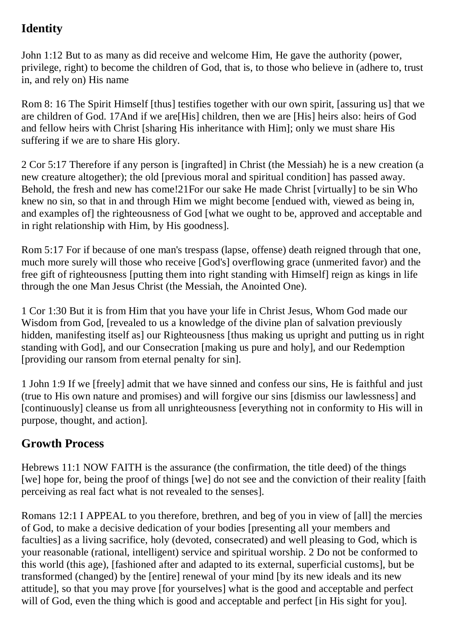## **Identity**

John 1:12 But to as many as did receive and welcome Him, He gave the authority (power, privilege, right) to become the children of God, that is, to those who believe in (adhere to, trust in, and rely on) His name

Rom 8: 16 The Spirit Himself [thus] testifies together with our own spirit, [assuring us] that we are children of God. 17And if we are[His] children, then we are [His] heirs also: heirs of God and fellow heirs with Christ [sharing His inheritance with Him]; only we must share His suffering if we are to share His glory.

2 Cor 5:17 Therefore if any person is [ingrafted] in Christ (the Messiah) he is a new creation (a new creature altogether); the old [previous moral and spiritual condition] has passed away. Behold, the fresh and new has come!21For our sake He made Christ [virtually] to be sin Who knew no sin, so that in and through Him we might become [endued with, viewed as being in, and examples of] the righteousness of God [what we ought to be, approved and acceptable and in right relationship with Him, by His goodness].

Rom 5:17 For if because of one man's trespass (lapse, offense) death reigned through that one, much more surely will those who receive [God's] overflowing grace (unmerited favor) and the free gift of righteousness [putting them into right standing with Himself] reign as kings in life through the one Man Jesus Christ (the Messiah, the Anointed One).

1 Cor 1:30 But it is from Him that you have your life in Christ Jesus, Whom God made our Wisdom from God, [revealed to us a knowledge of the divine plan of salvation previously hidden, manifesting itself as] our Righteousness [thus making us upright and putting us in right standing with God], and our Consecration [making us pure and holy], and our Redemption [providing our ransom from eternal penalty for sin].

1 John 1:9 If we [freely] admit that we have sinned and confess our sins, He is faithful and just (true to His own nature and promises) and will forgive our sins [dismiss our lawlessness] and [continuously] cleanse us from all unrighteousness [everything not in conformity to His will in purpose, thought, and action].

## **Growth Process**

Hebrews 11:1 NOW FAITH is the assurance (the confirmation, the title deed) of the things [we] hope for, being the proof of things [we] do not see and the conviction of their reality [faith perceiving as real fact what is not revealed to the senses].

Romans 12:1 I APPEAL to you therefore, brethren, and beg of you in view of [all] the mercies of God, to make a decisive dedication of your bodies [presenting all your members and faculties] as a living sacrifice, holy (devoted, consecrated) and well pleasing to God, which is your reasonable (rational, intelligent) service and spiritual worship. 2 Do not be conformed to this world (this age), [fashioned after and adapted to its external, superficial customs], but be transformed (changed) by the [entire] renewal of your mind [by its new ideals and its new attitude], so that you may prove [for yourselves] what is the good and acceptable and perfect will of God, even the thing which is good and acceptable and perfect [in His sight for you].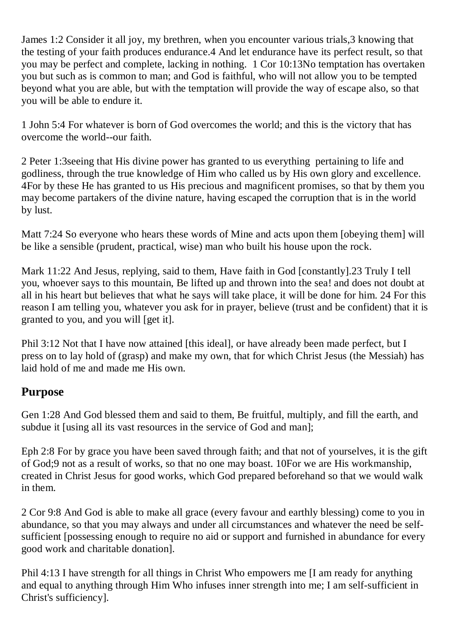James 1:2 Consider it all joy, my brethren, when you encounter various trials,3 knowing that the testing of your faith produces endurance.4 And let endurance have its perfect result, so that you may be perfect and complete, lacking in nothing. 1 Cor 10:13No temptation has overtaken you but such as is common to man; and God is faithful, who will not allow you to be tempted beyond what you are able, but with the temptation will provide the way of escape also, so that you will be able to endure it.

1 John 5:4 For whatever is born of God overcomes the world; and this is the victory that has overcome the world--our faith.

2 Peter 1:3seeing that His divine power has granted to us everything pertaining to life and godliness, through the true knowledge of Him who called us by His own glory and excellence. 4For by these He has granted to us His precious and magnificent promises, so that by them you may become partakers of the divine nature, having escaped the corruption that is in the world by lust.

Matt 7:24 So everyone who hears these words of Mine and acts upon them [obeying them] will be like a sensible (prudent, practical, wise) man who built his house upon the rock.

Mark 11:22 And Jesus, replying, said to them, Have faith in God [constantly].23 Truly I tell you, whoever says to this mountain, Be lifted up and thrown into the sea! and does not doubt at all in his heart but believes that what he says will take place, it will be done for him. 24 For this reason I am telling you, whatever you ask for in prayer, believe (trust and be confident) that it is granted to you, and you will [get it].

Phil 3:12 Not that I have now attained [this ideal], or have already been made perfect, but I press on to lay hold of (grasp) and make my own, that for which Christ Jesus (the Messiah) has laid hold of me and made me His own.

## **Purpose**

Gen 1:28 And God blessed them and said to them, Be fruitful, multiply, and fill the earth, and subdue it [using all its vast resources in the service of God and man];

Eph 2:8 For by grace you have been saved through faith; and that not of yourselves, it is the gift of God;9 not as a result of works, so that no one may boast. 10For we are His workmanship, created in Christ Jesus for good works, which God prepared beforehand so that we would walk in them.

2 Cor 9:8 And God is able to make all grace (every favour and earthly blessing) come to you in abundance, so that you may always and under all circumstances and whatever the need be selfsufficient [possessing enough to require no aid or support and furnished in abundance for every good work and charitable donation].

Phil 4:13 I have strength for all things in Christ Who empowers me [I am ready for anything and equal to anything through Him Who infuses inner strength into me; I am self-sufficient in Christ's sufficiency].